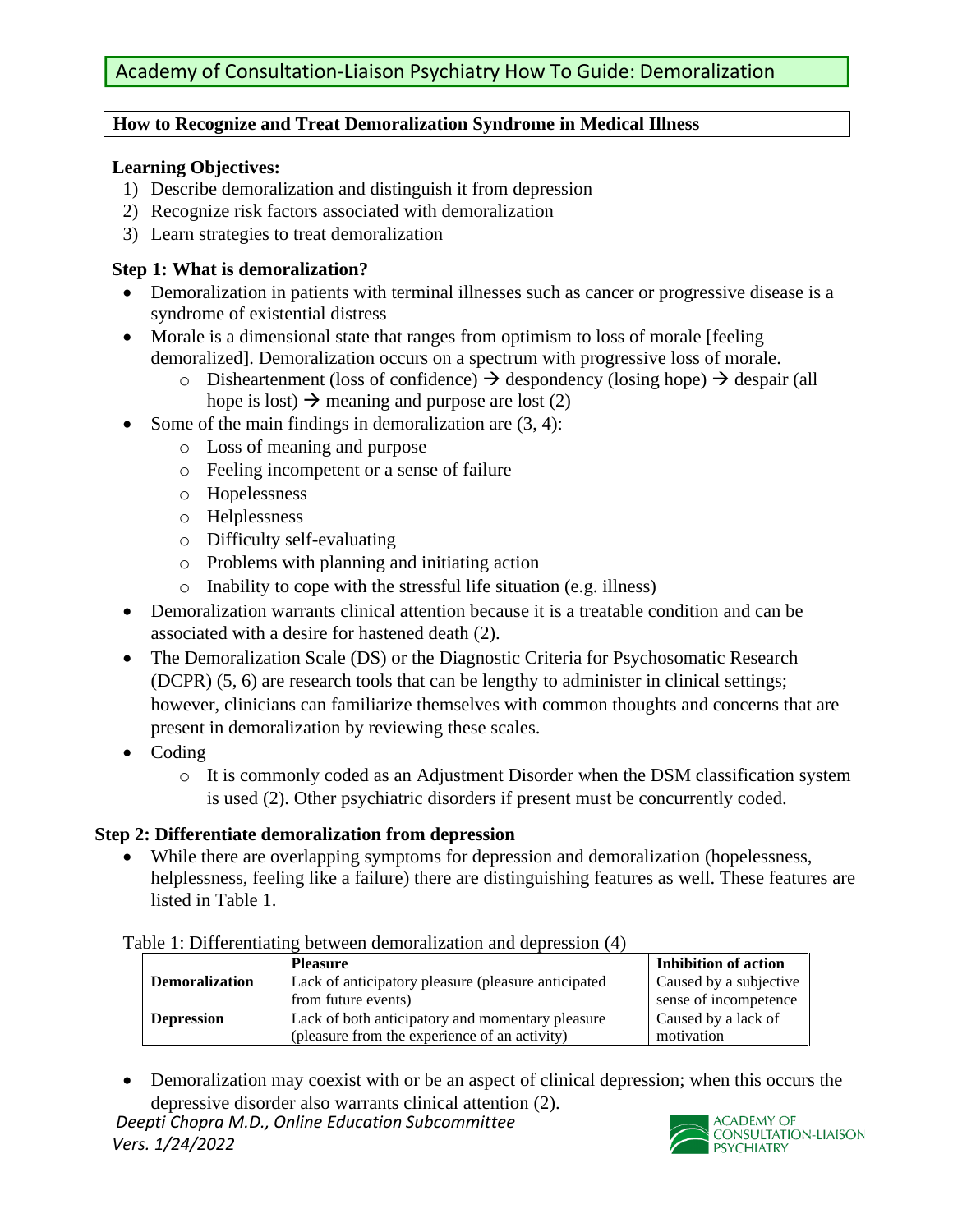## **How to Recognize and Treat Demoralization Syndrome in Medical Illness**

## **Learning Objectives:**

- 1) Describe demoralization and distinguish it from depression
- 2) Recognize risk factors associated with demoralization
- 3) Learn strategies to treat demoralization

### **Step 1: What is demoralization?**

- Demoralization in patients with terminal illnesses such as cancer or progressive disease is a syndrome of existential distress
- Morale is a dimensional state that ranges from optimism to loss of morale [feeling] demoralized]. Demoralization occurs on a spectrum with progressive loss of morale.
	- o Disheartenment (loss of confidence)  $\rightarrow$  despondency (losing hope)  $\rightarrow$  despair (all hope is lost)  $\rightarrow$  meaning and purpose are lost (2)
- Some of the main findings in demoralization are  $(3, 4)$ :
	- o Loss of meaning and purpose
	- o Feeling incompetent or a sense of failure
	- o Hopelessness
	- o Helplessness
	- o Difficulty self-evaluating
	- o Problems with planning and initiating action
	- o Inability to cope with the stressful life situation (e.g. illness)
- Demoralization warrants clinical attention because it is a treatable condition and can be associated with a desire for hastened death (2).
- The Demoralization Scale (DS) or the Diagnostic Criteria for Psychosomatic Research (DCPR) (5, 6) are research tools that can be lengthy to administer in clinical settings; however, clinicians can familiarize themselves with common thoughts and concerns that are present in demoralization by reviewing these scales.
- Coding
	- o It is commonly coded as an Adjustment Disorder when the DSM classification system is used (2). Other psychiatric disorders if present must be concurrently coded.

# **Step 2: Differentiate demoralization from depression**

• While there are overlapping symptoms for depression and demoralization (hopelessness, helplessness, feeling like a failure) there are distinguishing features as well. These features are listed in Table 1.

#### Table 1: Differentiating between demoralization and depression (4)

|                       | <b>Pleasure</b>                                     | Inhibition of action   |
|-----------------------|-----------------------------------------------------|------------------------|
| <b>Demoralization</b> | Lack of anticipatory pleasure (pleasure anticipated | Caused by a subjective |
|                       | from future events)                                 | sense of incompetence  |
| <b>Depression</b>     | Lack of both anticipatory and momentary pleasure    | Caused by a lack of    |
|                       | (pleasure from the experience of an activity)       | motivation             |

• Demoralization may coexist with or be an aspect of clinical depression; when this occurs the depressive disorder also warrants clinical attention (2).

*Deepti Chopra M.D., Online Education Subcommittee Vers. 1/24/2022*

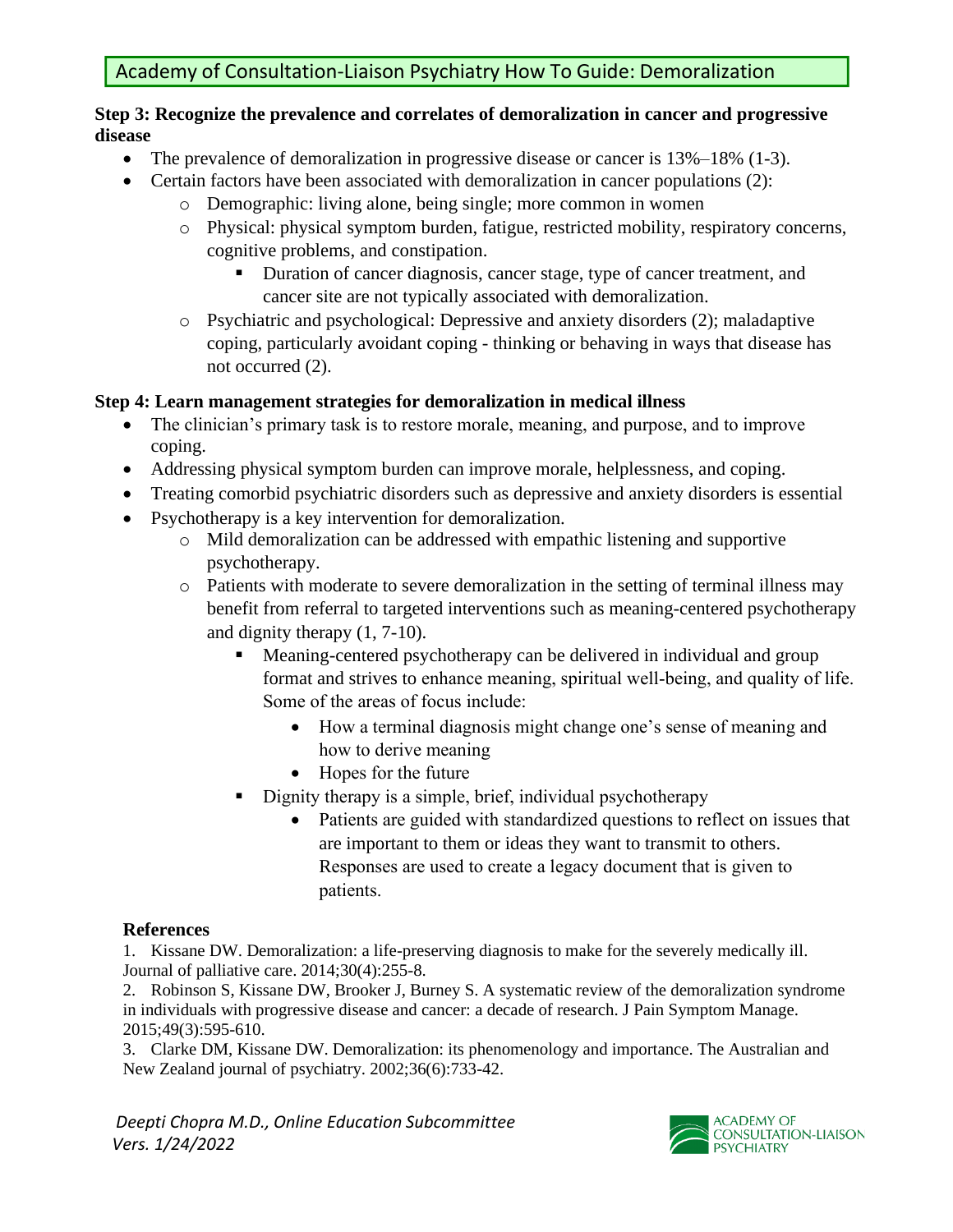### **Step 3: Recognize the prevalence and correlates of demoralization in cancer and progressive disease**

- The prevalence of demoralization in progressive disease or cancer is  $13\% 18\%$  (1-3).
- Certain factors have been associated with demoralization in cancer populations (2):
	- o Demographic: living alone, being single; more common in women
	- o Physical: physical symptom burden, fatigue, restricted mobility, respiratory concerns, cognitive problems, and constipation.
		- Duration of cancer diagnosis, cancer stage, type of cancer treatment, and cancer site are not typically associated with demoralization.
	- o Psychiatric and psychological: Depressive and anxiety disorders (2); maladaptive coping, particularly avoidant coping - thinking or behaving in ways that disease has not occurred (2).

# **Step 4: Learn management strategies for demoralization in medical illness**

- The clinician's primary task is to restore morale, meaning, and purpose, and to improve coping.
- Addressing physical symptom burden can improve morale, helplessness, and coping.
- Treating comorbid psychiatric disorders such as depressive and anxiety disorders is essential
- Psychotherapy is a key intervention for demoralization.
	- o Mild demoralization can be addressed with empathic listening and supportive psychotherapy.
	- o Patients with moderate to severe demoralization in the setting of terminal illness may benefit from referral to targeted interventions such as meaning-centered psychotherapy and dignity therapy (1, 7-10).
		- Meaning-centered psychotherapy can be delivered in individual and group format and strives to enhance meaning, spiritual well-being, and quality of life. Some of the areas of focus include:
			- How a terminal diagnosis might change one's sense of meaning and how to derive meaning
			- Hopes for the future
		- **•** Dignity therapy is a simple, brief, individual psychotherapy
			- Patients are guided with standardized questions to reflect on issues that are important to them or ideas they want to transmit to others. Responses are used to create a legacy document that is given to patients.

# **References**

1. Kissane DW. Demoralization: a life-preserving diagnosis to make for the severely medically ill. Journal of palliative care. 2014;30(4):255-8.

2. Robinson S, Kissane DW, Brooker J, Burney S. A systematic review of the demoralization syndrome in individuals with progressive disease and cancer: a decade of research. J Pain Symptom Manage. 2015;49(3):595-610.

3. Clarke DM, Kissane DW. Demoralization: its phenomenology and importance. The Australian and New Zealand journal of psychiatry. 2002;36(6):733-42.

*Deepti Chopra M.D., Online Education Subcommittee Vers. 1/24/2022*